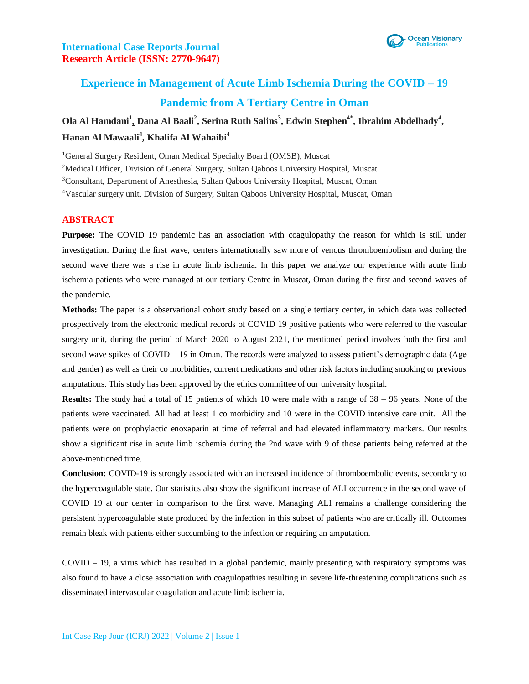

# **Experience in Management of Acute Limb Ischemia During the COVID – 19 Pandemic from A Tertiary Centre in Oman**

**Ola Al Hamdani<sup>1</sup> , Dana Al Baali<sup>2</sup> , Serina Ruth Salins<sup>3</sup> , Edwin Stephen4\*, Ibrahim Abdelhady<sup>4</sup> , Hanan Al Mawaali<sup>4</sup> , Khalifa Al Wahaibi<sup>4</sup>**

<sup>1</sup>General Surgery Resident, Oman Medical Specialty Board (OMSB), Muscat

<sup>2</sup>Medical Officer, Division of General Surgery, Sultan Qaboos University Hospital, Muscat

<sup>3</sup>Consultant, Department of Anesthesia, Sultan Qaboos University Hospital, Muscat, Oman

<sup>4</sup>Vascular surgery unit, Division of Surgery, Sultan Qaboos University Hospital, Muscat, Oman

### **ABSTRACT**

**Purpose:** The COVID 19 pandemic has an association with coagulopathy the reason for which is still under investigation. During the first wave, centers internationally saw more of venous thromboembolism and during the second wave there was a rise in acute limb ischemia. In this paper we analyze our experience with acute limb ischemia patients who were managed at our tertiary Centre in Muscat, Oman during the first and second waves of the pandemic.

**Methods:** The paper is a observational cohort study based on a single tertiary center, in which data was collected prospectively from the electronic medical records of COVID 19 positive patients who were referred to the vascular surgery unit, during the period of March 2020 to August 2021, the mentioned period involves both the first and second wave spikes of COVID – 19 in Oman. The records were analyzed to assess patient's demographic data (Age and gender) as well as their co morbidities, current medications and other risk factors including smoking or previous amputations. This study has been approved by the ethics committee of our university hospital.

**Results:** The study had a total of 15 patients of which 10 were male with a range of 38 – 96 years. None of the patients were vaccinated. All had at least 1 co morbidity and 10 were in the COVID intensive care unit. All the patients were on prophylactic enoxaparin at time of referral and had elevated inflammatory markers. Our results show a significant rise in acute limb ischemia during the 2nd wave with 9 of those patients being referred at the above-mentioned time.

**Conclusion:** COVID-19 is strongly associated with an increased incidence of thromboembolic events, secondary to the hypercoagulable state. Our statistics also show the significant increase of ALI occurrence in the second wave of COVID 19 at our center in comparison to the first wave. Managing ALI remains a challenge considering the persistent hypercoagulable state produced by the infection in this subset of patients who are critically ill. Outcomes remain bleak with patients either succumbing to the infection or requiring an amputation.

COVID – 19, a virus which has resulted in a global pandemic, mainly presenting with respiratory symptoms was also found to have a close association with coagulopathies resulting in severe life-threatening complications such as disseminated intervascular coagulation and acute limb ischemia.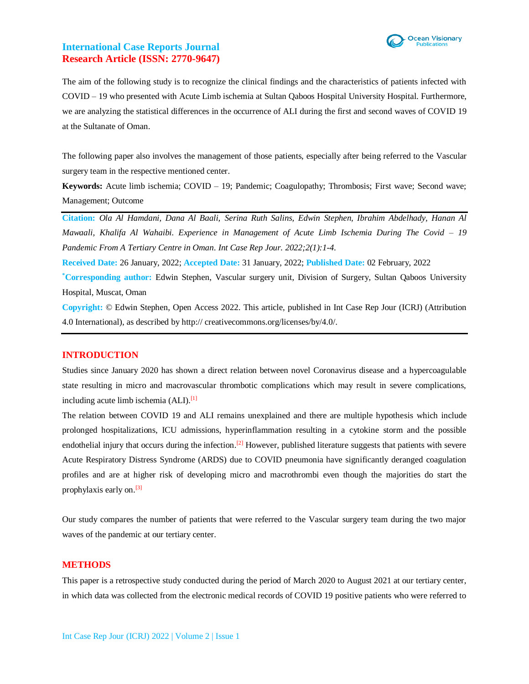

The aim of the following study is to recognize the clinical findings and the characteristics of patients infected with COVID – 19 who presented with Acute Limb ischemia at Sultan Qaboos Hospital University Hospital. Furthermore, we are analyzing the statistical differences in the occurrence of ALI during the first and second waves of COVID 19 at the Sultanate of Oman.

The following paper also involves the management of those patients, especially after being referred to the Vascular surgery team in the respective mentioned center.

**Keywords:** Acute limb ischemia; COVID – 19; Pandemic; Coagulopathy; Thrombosis; First wave; Second wave; Management; Outcome

**Citation:** *Ola Al Hamdani, Dana Al Baali, Serina Ruth Salins, Edwin Stephen, Ibrahim Abdelhady, Hanan Al Mawaali, Khalifa Al Wahaibi. Experience in Management of Acute Limb Ischemia During The Covid – 19 Pandemic From A Tertiary Centre in Oman. Int Case Rep Jour. 2022;2(1):1-4.*

**Received Date:** 26 January, 2022; **Accepted Date:** 31 January, 2022; **Published Date:** 02 February, 2022

**\*Corresponding author:** Edwin Stephen, Vascular surgery unit, Division of Surgery, Sultan Qaboos University Hospital, Muscat, Oman

**Copyright:** © Edwin Stephen, Open Access 2022. This article, published in Int Case Rep Jour (ICRJ) (Attribution 4.0 International), as described by http:// creativecommons.org/licenses/by/4.0/.

#### **INTRODUCTION**

Studies since January 2020 has shown a direct relation between novel Coronavirus disease and a hypercoagulable state resulting in micro and macrovascular thrombotic complications which may result in severe complications, including acute limb ischemia (ALI).<sup>[1]</sup>

The relation between COVID 19 and ALI remains unexplained and there are multiple hypothesis which include prolonged hospitalizations, ICU admissions, hyperinflammation resulting in a cytokine storm and the possible endothelial injury that occurs during the infection.<sup>[2]</sup> However, published literature suggests that patients with severe Acute Respiratory Distress Syndrome (ARDS) due to COVID pneumonia have significantly deranged coagulation profiles and are at higher risk of developing micro and macrothrombi even though the majorities do start the prophylaxis early on.<sup>[3]</sup>

Our study compares the number of patients that were referred to the Vascular surgery team during the two major waves of the pandemic at our tertiary center.

#### **METHODS**

This paper is a retrospective study conducted during the period of March 2020 to August 2021 at our tertiary center, in which data was collected from the electronic medical records of COVID 19 positive patients who were referred to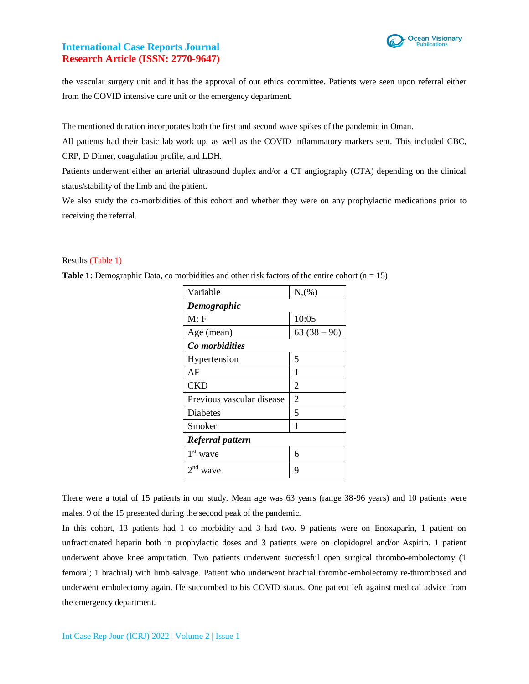

the vascular surgery unit and it has the approval of our ethics committee. Patients were seen upon referral either from the COVID intensive care unit or the emergency department.

The mentioned duration incorporates both the first and second wave spikes of the pandemic in Oman.

All patients had their basic lab work up, as well as the COVID inflammatory markers sent. This included CBC, CRP, D Dimer, coagulation profile, and LDH.

Patients underwent either an arterial ultrasound duplex and/or a CT angiography (CTA) depending on the clinical status/stability of the limb and the patient.

We also study the co-morbidities of this cohort and whether they were on any prophylactic medications prior to receiving the referral.

### Results (Table 1)

**Table 1:** Demographic Data, co morbidities and other risk factors of the entire cohort (n = 15)

| Variable                  | N,(%)          |
|---------------------------|----------------|
| Demographic               |                |
| M: F                      | 10:05          |
| Age (mean)                | $63(38-96)$    |
| Co morbidities            |                |
| Hypertension              | 5              |
| AF                        | 1              |
| <b>CKD</b>                | 2              |
| Previous vascular disease | $\overline{2}$ |
| <b>Diabetes</b>           | 5              |
| Smoker                    | 1              |
| Referral pattern          |                |
| $1st$ wave                | 6              |
| 2 <sup>nd</sup><br>wave   | 9              |

There were a total of 15 patients in our study. Mean age was 63 years (range 38-96 years) and 10 patients were males. 9 of the 15 presented during the second peak of the pandemic.

In this cohort, 13 patients had 1 co morbidity and 3 had two. 9 patients were on Enoxaparin, 1 patient on unfractionated heparin both in prophylactic doses and 3 patients were on clopidogrel and/or Aspirin. 1 patient underwent above knee amputation. Two patients underwent successful open surgical thrombo-embolectomy (1 femoral; 1 brachial) with limb salvage. Patient who underwent brachial thrombo-embolectomy re-thrombosed and underwent embolectomy again. He succumbed to his COVID status. One patient left against medical advice from the emergency department.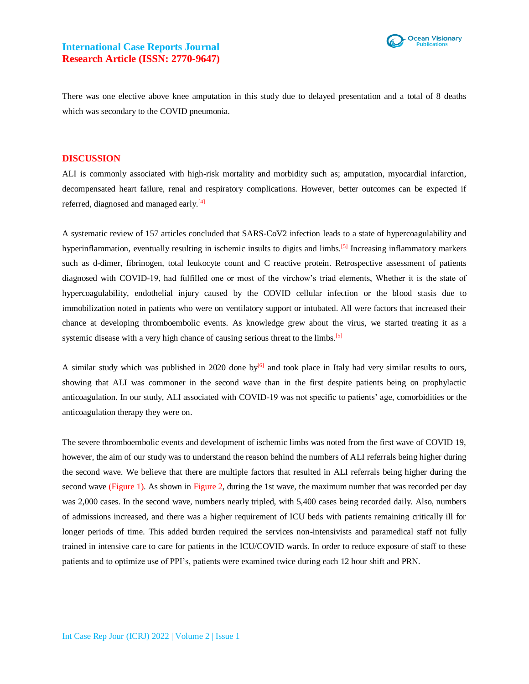

There was one elective above knee amputation in this study due to delayed presentation and a total of 8 deaths which was secondary to the COVID pneumonia.

#### **DISCUSSION**

ALI is commonly associated with high-risk mortality and morbidity such as; amputation, myocardial infarction, decompensated heart failure, renal and respiratory complications. However, better outcomes can be expected if referred, diagnosed and managed early.<sup>[4]</sup>

A systematic review of 157 articles concluded that SARS-CoV2 infection leads to a state of hypercoagulability and hyperinflammation, eventually resulting in ischemic insults to digits and limbs.<sup>[5]</sup> Increasing inflammatory markers such as d-dimer, fibrinogen, total leukocyte count and C reactive protein. Retrospective assessment of patients diagnosed with COVID-19, had fulfilled one or most of the virchow's triad elements, Whether it is the state of hypercoagulability, endothelial injury caused by the COVID cellular infection or the blood stasis due to immobilization noted in patients who were on ventilatory support or intubated. All were factors that increased their chance at developing thromboembolic events. As knowledge grew about the virus, we started treating it as a systemic disease with a very high chance of causing serious threat to the limbs.<sup>[5]</sup>

A similar study which was published in 2020 done by $^{[6]}$  and took place in Italy had very similar results to ours, showing that ALI was commoner in the second wave than in the first despite patients being on prophylactic anticoagulation. In our study, ALI associated with COVID-19 was not specific to patients' age, comorbidities or the anticoagulation therapy they were on.

The severe thromboembolic events and development of ischemic limbs was noted from the first wave of COVID 19, however, the aim of our study was to understand the reason behind the numbers of ALI referrals being higher during the second wave. We believe that there are multiple factors that resulted in ALI referrals being higher during the second wave (Figure 1). As shown in Figure 2, during the 1st wave, the maximum number that was recorded per day was 2,000 cases. In the second wave, numbers nearly tripled, with 5,400 cases being recorded daily. Also, numbers of admissions increased, and there was a higher requirement of ICU beds with patients remaining critically ill for longer periods of time. This added burden required the services non-intensivists and paramedical staff not fully trained in intensive care to care for patients in the ICU/COVID wards. In order to reduce exposure of staff to these patients and to optimize use of PPI's, patients were examined twice during each 12 hour shift and PRN.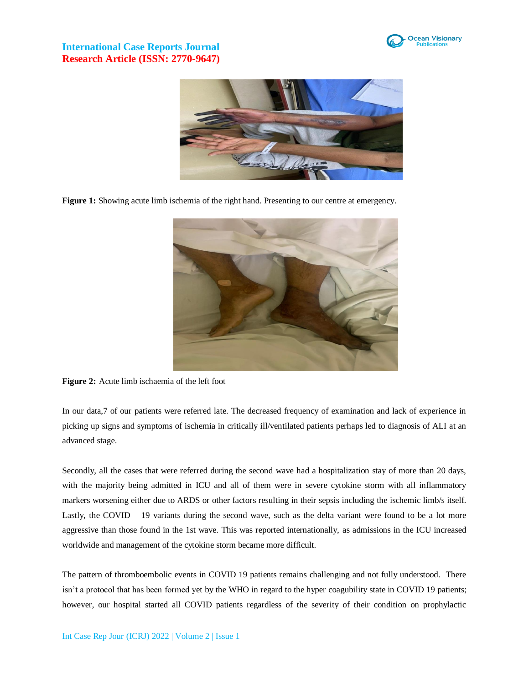



**Figure 1:** Showing acute limb ischemia of the right hand. Presenting to our centre at emergency.



**Figure 2:** Acute limb ischaemia of the left foot

In our data,7 of our patients were referred late. The decreased frequency of examination and lack of experience in picking up signs and symptoms of ischemia in critically ill/ventilated patients perhaps led to diagnosis of ALI at an advanced stage.

Secondly, all the cases that were referred during the second wave had a hospitalization stay of more than 20 days, with the majority being admitted in ICU and all of them were in severe cytokine storm with all inflammatory markers worsening either due to ARDS or other factors resulting in their sepsis including the ischemic limb/s itself. Lastly, the COVID – 19 variants during the second wave, such as the delta variant were found to be a lot more aggressive than those found in the 1st wave. This was reported internationally, as admissions in the ICU increased worldwide and management of the cytokine storm became more difficult.

The pattern of thromboembolic events in COVID 19 patients remains challenging and not fully understood. There isn't a protocol that has been formed yet by the WHO in regard to the hyper coagubility state in COVID 19 patients; however, our hospital started all COVID patients regardless of the severity of their condition on prophylactic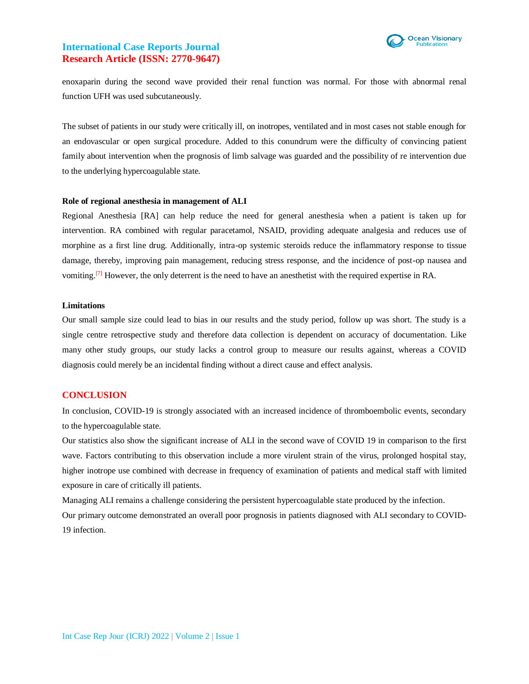

enoxaparin during the second wave provided their renal function was normal. For those with abnormal renal function UFH was used subcutaneously.

The subset of patients in our study were critically ill, on inotropes, ventilated and in most cases not stable enough for an endovascular or open surgical procedure. Added to this conundrum were the difficulty of convincing patient family about intervention when the prognosis of limb salvage was guarded and the possibility of re intervention due to the underlying hypercoagulable state.

#### **Role of regional anesthesia in management of ALI**

Regional Anesthesia [RA] can help reduce the need for general anesthesia when a patient is taken up for intervention. RA combined with regular paracetamol, NSAID, providing adequate analgesia and reduces use of morphine as a first line drug. Additionally, intra-op systemic steroids reduce the inflammatory response to tissue damage, thereby, improving pain management, reducing stress response, and the incidence of post-op nausea and vomiting.<sup>[7]</sup> However, the only deterrent is the need to have an anesthetist with the required expertise in RA.

#### **Limitations**

Our small sample size could lead to bias in our results and the study period, follow up was short. The study is a single centre retrospective study and therefore data collection is dependent on accuracy of documentation. Like many other study groups, our study lacks a control group to measure our results against, whereas a COVID diagnosis could merely be an incidental finding without a direct cause and effect analysis.

#### **CONCLUSION**

In conclusion, COVID-19 is strongly associated with an increased incidence of thromboembolic events, secondary to the hypercoagulable state.

Our statistics also show the significant increase of ALI in the second wave of COVID 19 in comparison to the first wave. Factors contributing to this observation include a more virulent strain of the virus, prolonged hospital stay, higher inotrope use combined with decrease in frequency of examination of patients and medical staff with limited exposure in care of critically ill patients.

Managing ALI remains a challenge considering the persistent hypercoagulable state produced by the infection. Our primary outcome demonstrated an overall poor prognosis in patients diagnosed with ALI secondary to COVID-19 infection.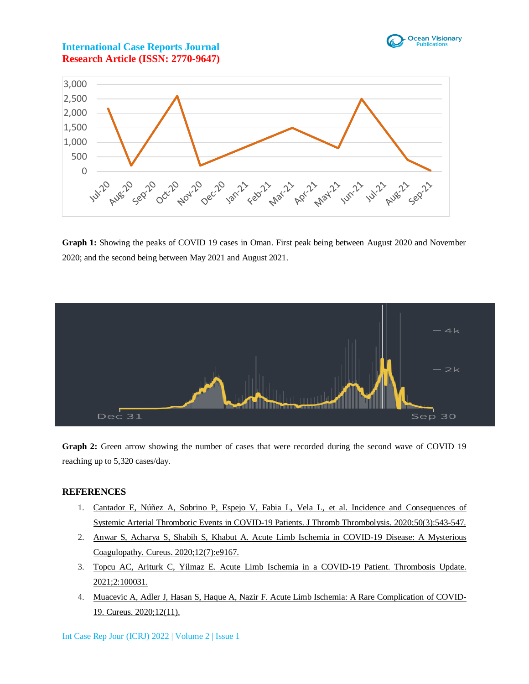



**Graph 1:** Showing the peaks of COVID 19 cases in Oman. First peak being between August 2020 and November 2020; and the second being between May 2021 and August 2021.



**Graph 2:** Green arrow showing the number of cases that were recorded during the second wave of COVID 19 reaching up to 5,320 cases/day.

### **REFERENCES**

- 1. [Cantador E, Núñez A, Sobrino P, Espejo V, Fabia L, Vela L, et al. Incidence and Consequences](https://pubmed.ncbi.nlm.nih.gov/32519165/) of Systemic Arterial Thrombotic Events [in COVID-19 Patients. J Thromb Thrombolysis. 2020;50\(3\):543-547.](https://pubmed.ncbi.nlm.nih.gov/32519165/)
- 2. [Anwar S, Acharya S, Shabih S, Khabut A. Acute Limb Ischemia in COVID-19 Disease: A Mysterious](https://pubmed.ncbi.nlm.nih.gov/32802604/)  [Coagulopathy. Cureus. 2020;12\(7\):e9167.](https://pubmed.ncbi.nlm.nih.gov/32802604/)
- 3. [Topcu AC, Ariturk C, Yilmaz E. Acute Limb Ischemia in a COVID-19 Patient. Thrombosis Update.](https://www.sciencedirect.com/science/article/pii/S2666572720300316)  [2021;2:100031.](https://www.sciencedirect.com/science/article/pii/S2666572720300316)
- 4. [Muacevic A, Adler J, Hasan S, Haque A, Nazir F. Acute Limb Ischemia: A Rare Complication of COVID-](https://www.cureus.com/articles/44979-acute-limb-ischemia-a-rare-complication-of-covid-19)[19. Cureus. 2020;12\(11\).](https://www.cureus.com/articles/44979-acute-limb-ischemia-a-rare-complication-of-covid-19)